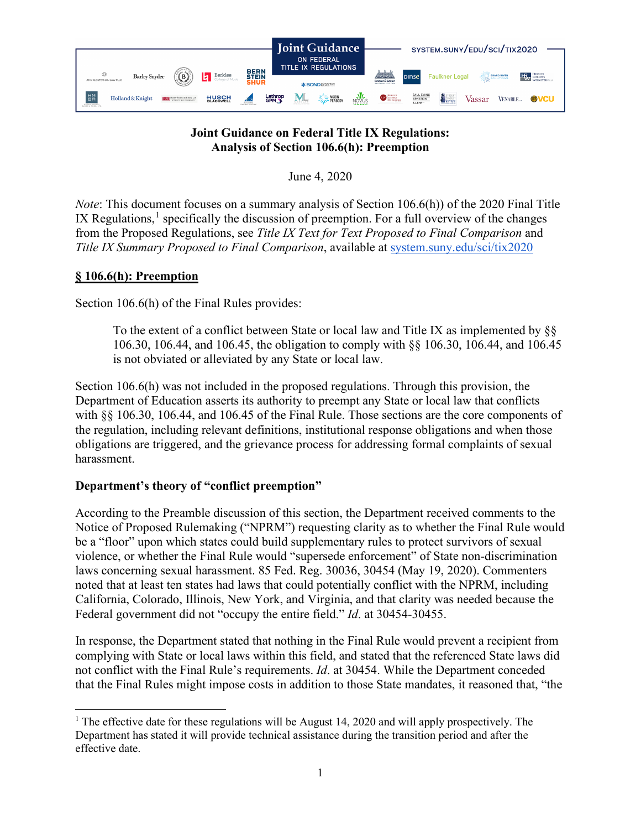

## **Joint Guidance on Federal Title IX Regulations: Analysis of Section 106.6(h): Preemption**

June 4, 2020

*Note*: This document focuses on a summary analysis of Section 106.6(h) of the 2020 Final Title IX Regulations, $<sup>1</sup>$  $<sup>1</sup>$  $<sup>1</sup>$  specifically the discussion of preemption. For a full overview of the changes</sup> from the Proposed Regulations, see *Title IX Text for Text Proposed to Final Comparison* and *Title IX Summary Proposed to Final Comparison*, available at [system.suny.edu/sci/tix2020](https://system.suny.edu/sci/tix2020/)

## **§ 106.6(h): Preemption**

Section 106.6(h) of the Final Rules provides:

To the extent of a conflict between State or local law and Title IX as implemented by §§ 106.30, 106.44, and 106.45, the obligation to comply with §§ 106.30, 106.44, and 106.45 is not obviated or alleviated by any State or local law.

Section 106.6(h) was not included in the proposed regulations. Through this provision, the Department of Education asserts its authority to preempt any State or local law that conflicts with §§ 106.30, 106.44, and 106.45 of the Final Rule. Those sections are the core components of the regulation, including relevant definitions, institutional response obligations and when those obligations are triggered, and the grievance process for addressing formal complaints of sexual harassment.

## **Department's theory of "conflict preemption"**

According to the Preamble discussion of this section, the Department received comments to the Notice of Proposed Rulemaking ("NPRM") requesting clarity as to whether the Final Rule would be a "floor" upon which states could build supplementary rules to protect survivors of sexual violence, or whether the Final Rule would "supersede enforcement" of State non-discrimination laws concerning sexual harassment. 85 Fed. Reg. 30036, 30454 (May 19, 2020). Commenters noted that at least ten states had laws that could potentially conflict with the NPRM, including California, Colorado, Illinois, New York, and Virginia, and that clarity was needed because the Federal government did not "occupy the entire field." *Id*. at 30454-30455.

In response, the Department stated that nothing in the Final Rule would prevent a recipient from complying with State or local laws within this field, and stated that the referenced State laws did not conflict with the Final Rule's requirements. *Id*. at 30454. While the Department conceded that the Final Rules might impose costs in addition to those State mandates, it reasoned that, "the

<span id="page-0-0"></span><sup>&</sup>lt;sup>1</sup> The effective date for these regulations will be August 14, 2020 and will apply prospectively. The Department has stated it will provide technical assistance during the transition period and after the effective date.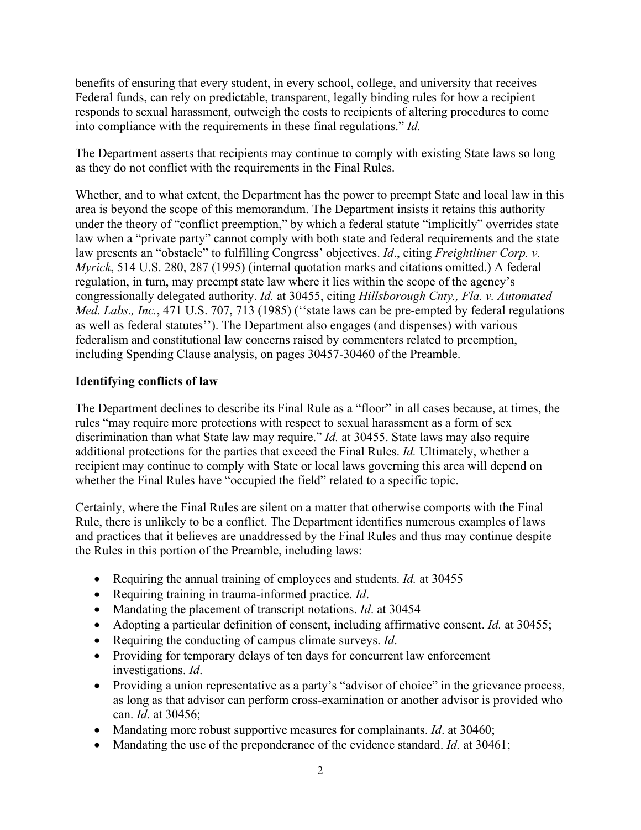benefits of ensuring that every student, in every school, college, and university that receives Federal funds, can rely on predictable, transparent, legally binding rules for how a recipient responds to sexual harassment, outweigh the costs to recipients of altering procedures to come into compliance with the requirements in these final regulations." *Id.*

The Department asserts that recipients may continue to comply with existing State laws so long as they do not conflict with the requirements in the Final Rules.

Whether, and to what extent, the Department has the power to preempt State and local law in this area is beyond the scope of this memorandum. The Department insists it retains this authority under the theory of "conflict preemption," by which a federal statute "implicitly" overrides state law when a "private party" cannot comply with both state and federal requirements and the state law presents an "obstacle" to fulfilling Congress' objectives. *Id*., citing *Freightliner Corp. v. Myrick*, 514 U.S. 280, 287 (1995) (internal quotation marks and citations omitted.) A federal regulation, in turn, may preempt state law where it lies within the scope of the agency's congressionally delegated authority. *Id.* at 30455, citing *Hillsborough Cnty., Fla. v. Automated Med. Labs., Inc.*, 471 U.S. 707, 713 (1985) (''state laws can be pre-empted by federal regulations as well as federal statutes''). The Department also engages (and dispenses) with various federalism and constitutional law concerns raised by commenters related to preemption, including Spending Clause analysis, on pages 30457-30460 of the Preamble.

## **Identifying conflicts of law**

The Department declines to describe its Final Rule as a "floor" in all cases because, at times, the rules "may require more protections with respect to sexual harassment as a form of sex discrimination than what State law may require." *Id.* at 30455. State laws may also require additional protections for the parties that exceed the Final Rules. *Id.* Ultimately, whether a recipient may continue to comply with State or local laws governing this area will depend on whether the Final Rules have "occupied the field" related to a specific topic.

Certainly, where the Final Rules are silent on a matter that otherwise comports with the Final Rule, there is unlikely to be a conflict. The Department identifies numerous examples of laws and practices that it believes are unaddressed by the Final Rules and thus may continue despite the Rules in this portion of the Preamble, including laws:

- Requiring the annual training of employees and students. *Id.* at 30455
- Requiring training in trauma-informed practice. *Id*.
- Mandating the placement of transcript notations. *Id*. at 30454
- Adopting a particular definition of consent, including affirmative consent. *Id.* at 30455;
- Requiring the conducting of campus climate surveys. *Id*.
- Providing for temporary delays of ten days for concurrent law enforcement investigations. *Id*.
- Providing a union representative as a party's "advisor of choice" in the grievance process, as long as that advisor can perform cross-examination or another advisor is provided who can. *Id*. at 30456;
- Mandating more robust supportive measures for complainants. *Id*. at 30460;
- Mandating the use of the preponderance of the evidence standard. *Id.* at 30461;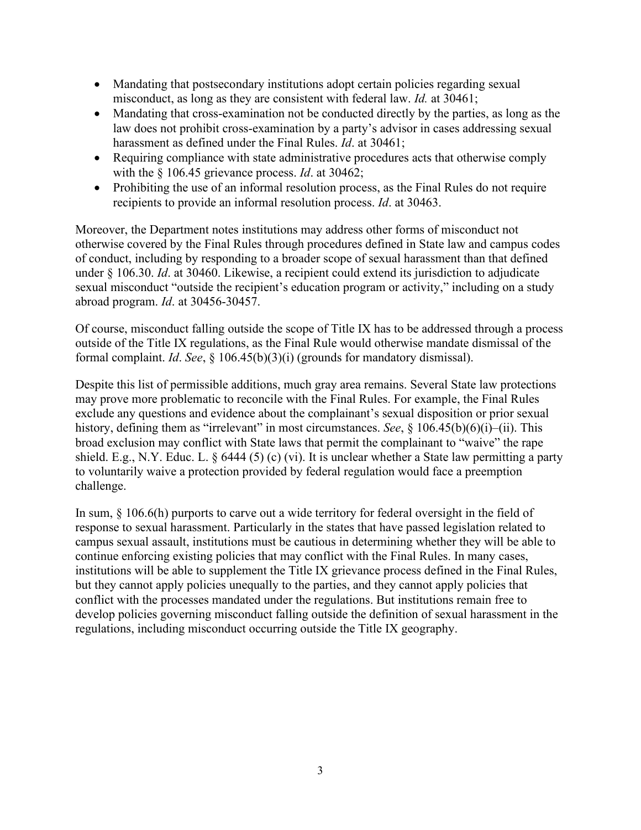- Mandating that postsecondary institutions adopt certain policies regarding sexual misconduct, as long as they are consistent with federal law. *Id.* at 30461;
- Mandating that cross-examination not be conducted directly by the parties, as long as the law does not prohibit cross-examination by a party's advisor in cases addressing sexual harassment as defined under the Final Rules. *Id*. at 30461;
- Requiring compliance with state administrative procedures acts that otherwise comply with the § 106.45 grievance process. *Id*. at 30462;
- Prohibiting the use of an informal resolution process, as the Final Rules do not require recipients to provide an informal resolution process. *Id*. at 30463.

Moreover, the Department notes institutions may address other forms of misconduct not otherwise covered by the Final Rules through procedures defined in State law and campus codes of conduct, including by responding to a broader scope of sexual harassment than that defined under § 106.30. *Id*. at 30460. Likewise, a recipient could extend its jurisdiction to adjudicate sexual misconduct "outside the recipient's education program or activity," including on a study abroad program. *Id*. at 30456-30457.

Of course, misconduct falling outside the scope of Title IX has to be addressed through a process outside of the Title IX regulations, as the Final Rule would otherwise mandate dismissal of the formal complaint. *Id*. *See*, § 106.45(b)(3)(i) (grounds for mandatory dismissal).

Despite this list of permissible additions, much gray area remains. Several State law protections may prove more problematic to reconcile with the Final Rules. For example, the Final Rules exclude any questions and evidence about the complainant's sexual disposition or prior sexual history, defining them as "irrelevant" in most circumstances. *See*, § 106.45(b)(6)(i)–(ii). This broad exclusion may conflict with State laws that permit the complainant to "waive" the rape shield. E.g., N.Y. Educ. L. § 6444 (5) (c) (vi). It is unclear whether a State law permitting a party to voluntarily waive a protection provided by federal regulation would face a preemption challenge.

In sum,  $\S$  106.6(h) purports to carve out a wide territory for federal oversight in the field of response to sexual harassment. Particularly in the states that have passed legislation related to campus sexual assault, institutions must be cautious in determining whether they will be able to continue enforcing existing policies that may conflict with the Final Rules. In many cases, institutions will be able to supplement the Title IX grievance process defined in the Final Rules, but they cannot apply policies unequally to the parties, and they cannot apply policies that conflict with the processes mandated under the regulations. But institutions remain free to develop policies governing misconduct falling outside the definition of sexual harassment in the regulations, including misconduct occurring outside the Title IX geography.